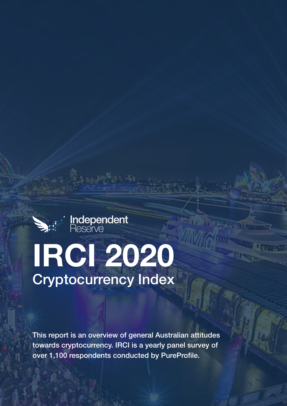

## **IRCI 2020** Cryptocurrency Index

This report is an overview of general Australian attitudes towards cryptocurrency. IRCI is a yearly panel survey of over 1,100 respondents conducted by PureProfile.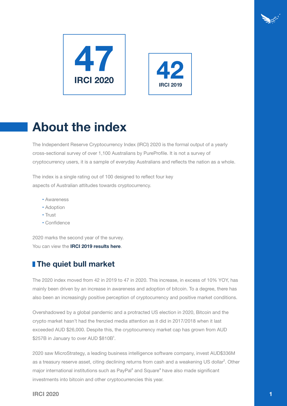



## **About the index**

The Independent Reserve Cryptocurrency Index (IRCI) 2020 is the formal output of a yearly cross-sectional survey of over 1,100 Australians by PureProfile. It is not a survey of cryptocurrency users, it is a sample of everyday Australians and reflects the nation as a whole.

The index is a single rating out of 100 designed to reflect four key aspects of Australian attitudes towards cryptocurrency.

- Awareness
- Adoption
- Trust
- Confidence

2020 marks the second year of the survey. You can view the **IRCI 2019 results here**.

## **The quiet bull market**

The 2020 index moved from 42 in 2019 to 47 in 2020. This increase, in excess of 10% YOY, has mainly been driven by an increase in awareness and adoption of bitcoin. To a degree, there has also been an increasingly positive perception of cryptocurrency and positive market conditions.

Overshadowed by a global pandemic and a protracted US election in 2020, Bitcoin and the crypto market hasn't had the frenzied media attention as it did in 2017/2018 when it last exceeded AUD \$26,000. Despite this, the cryptocurrency market cap has grown from AUD \$257B in January to over AUD \$810B<sup>1</sup>.

2020 saw MicroStrategy, a leading business intelligence software company, invest AUD\$336M as a treasury reserve asset, citing declining returns from cash and a weakening US dollar<sup>2</sup>. Other major international institutions such as PayPal<sup>3</sup> and Square<sup>4</sup> have also made significant investments into bitcoin and other cryptocurrencies this year.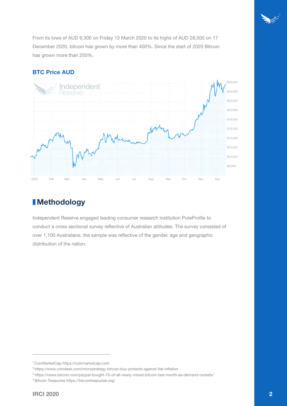From its lows of AUD 6,300 on Friday 13 March 2020 to its highs of AUD 28,500 on 17 December 2020, bitcoin has grown by more than 400%. Since the start of 2020 Bitcoin has grown more than 250%.

### **BTC Price AUD**



## **Methodology**

Independent Reserve engaged leading consumer research institution PureProfile to conduct a cross sectional survey reflective of Australian attitudes. The survey consisted of over 1,100 Australians, the sample was reflective of the gender, age and geographic distribution of the nation.

<sup>&</sup>lt;sup>1</sup> CoinMarketCap https://coinmarketcap.com

² https://www.coindesk.com/microstrategy-bitcoin-buy-protects-against-fiat-inflation

³ https://news.bitcoin.com/paypal-bought-70-of-all-newly-mined-bitcoin-last-month-as-demand-rockets/

<sup>4</sup> Bitcoin Treasuries https://bitcointreasuries.org/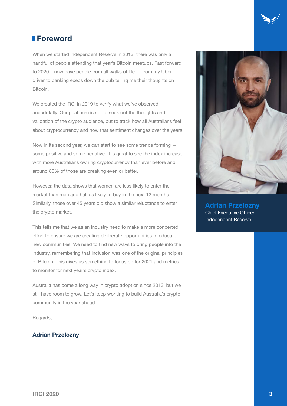

## **Foreword**

When we started Independent Reserve in 2013, there was only a handful of people attending that year's Bitcoin meetups. Fast forward to 2020, I now have people from all walks of life — from my Uber driver to banking execs down the pub telling me their thoughts on Bitcoin.

We created the IRCI in 2019 to verify what we've observed anecdotally. Our goal here is not to seek out the thoughts and validation of the crypto audience, but to track how all Australians feel about cryptocurrency and how that sentiment changes over the years.

Now in its second year, we can start to see some trends forming some positive and some negative. It is great to see the index increase with more Australians owning cryptocurrency than ever before and around 80% of those are breaking even or better.

However, the data shows that women are less likely to enter the market than men and half as likely to buy in the next 12 months. Similarly, those over 45 years old show a similar reluctance to enter the crypto market.

This tells me that we as an industry need to make a more concerted effort to ensure we are creating deliberate opportunities to educate new communities. We need to find new ways to bring people into the industry, remembering that inclusion was one of the original principles of Bitcoin. This gives us something to focus on for 2021 and metrics to monitor for next year's crypto index.

Australia has come a long way in crypto adoption since 2013, but we still have room to grow. Let's keep working to build Australia's crypto community in the year ahead.

Regards,

## **Adrian Przelozny**



**Adrian Przelozny** Chief Executive Officer Independent Reserve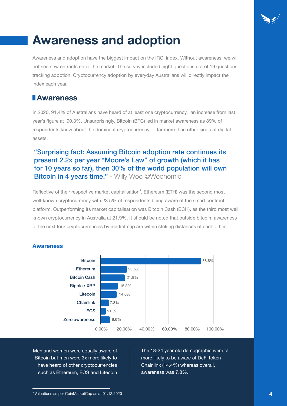

## **Awareness and adoption**

Awareness and adoption have the biggest impact on the IRCI index. Without awareness, we will not see new entrants enter the market. The survey included eight questions out of 19 questions tracking adoption. Cryptocurrency adoption by everyday Australians will directly impact the index each year.

## **Awareness**

In 2020, 91.4% of Australians have heard of at least one cryptocurrency, an increase from last year's figure at 90.3%. Unsurprisingly, Bitcoin (BTC) led in market awareness as 89% of respondents knew about the dominant cryptocurrency — far more than other kinds of digital assets.

## "Surprising fact: Assuming Bitcoin adoption rate continues its present 2.2x per year "Moore's Law" of growth (which it has for 10 years so far), then 30% of the world population will own **Bitcoin in 4 years time."** - Willy Woo @Woonomic

Reflective of their respective market capitalisation<sup>5</sup>, Ethereum (ETH) was the second most well-known cryptocurrency with 23.5% of respondents being aware of the smart contract platform. Outperforming its market capitalisation was Bitcoin Cash (BCH), as the third most well known cryptocurrency in Australia at 21.9%. It should be noted that outside bitcoin, awareness of the next four cryptocurrencies by market cap are within striking distances of each other.



## **Awareness**

Men and women were equally aware of Bitcoin but men were 3x more likely to have heard of other cryptocurrencies such as Ethereum, EOS and Litecoin The 18-24 year old demographic were far more likely to be aware of DeFi token Chainlink (14.4%) whereas overall, awareness was 7.8%.

<sup>5</sup>Valuations as per CoinMarketCap as at 01.12.2020 **4**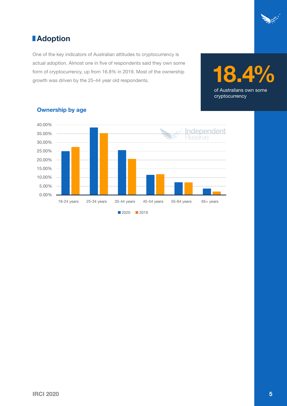

## *<u>I*</u> Adoption

One of the key indicators of Australian attitudes to cryptocurrency is actual adoption. Almost one in five of respondents said they own some form of cryptocurrency, up from 16.8% in 2019. Most of the ownership form of cryptocurrency, up from 16.8% in 2019. Most of the ownership<br>growth was driven by the 25-44 year old respondents.





### **Ownership by age**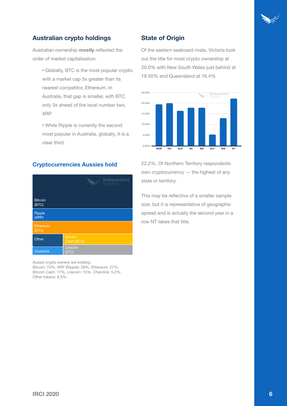

## **Australian crypto holdings**

Australian ownership **mostly** reflected the order of market capitalisation.

- Globally, BTC is the most popular crypto with a market cap 5x greater than its nearest competitor, Ethereum. In Australia, that gap is smaller, with BTC only 3x ahead of the local number two, XRP.
- While Ripple is currently the second most popular in Australia, globally, it is a clear third.

#### **Cryptocurrencies Aussies hold**

|                         | <b>Sesserve</b><br>Sesserve  |
|-------------------------|------------------------------|
| <b>Bitcoin</b><br>(BTC) |                              |
| Ripple<br>(XRP)         |                              |
| Ethereum<br>(ETH)       |                              |
| Other                   | <b>Bitcoin</b><br>Cash (BCH) |
| Chainlink               | Litecoin<br>(LTC)            |

Aussie crypto owners are holding: Bitcoin: 74%, XRP (Ripple): 28%, Ethereum: 27%, Bitcoin Cash: 17%, Litecoin: 15%, Chainlink: 5.2%, Other tokens: 8.5%.

#### **State of Origin**

Of the eastern seaboard rivals, Victoria took out the title for most crypto ownership at 20.0% with New South Wales just behind at 19.50% and Queensland at 16.4%



22.2%. Of Northern Territory respondents own cryptocurrency — the highest of any state or territory.

This may be reflective of a smaller sample size, but it is representative of geographic spread and is actually the second year in a row NT takes that title.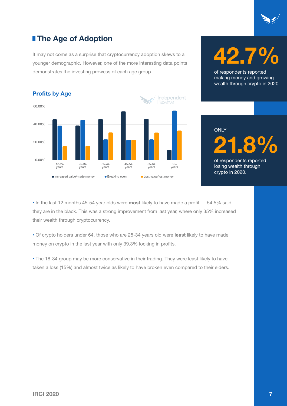

## **The Age of Adoption**

It may not come as a surprise that cryptocurrency adoption skews to a younger demographic. However, one of the more interesting data points demonstrates the investing prowess of each age group.



# **42.7%**

of respondents reported making money and growing wealth through crypto in 2020.

## **21.8%** of respondents reported **ONLY**

losing wealth through crypto in 2020.

• In the last 12 months 45-54 year olds were **most** likely to have made a profit — 54.5% said they are in the black. This was a strong improvement from last year, where only 35% increased their wealth through cryptocurrency.

• Of crypto holders under 64, those who are 25-34 years old were **least** likely to have made money on crypto in the last year with only 39.3% locking in profits.

• The 18-34 group may be more conservative in their trading. They were least likely to have taken a loss (15%) and almost twice as likely to have broken even compared to their elders.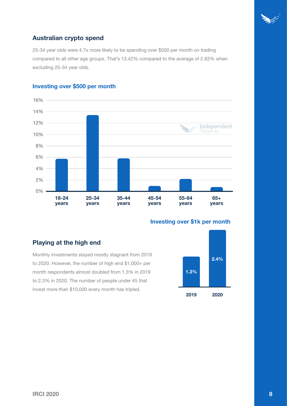

## **Australian crypto spend**

25-34 year olds were 4.7x more likely to be spending over \$500 per month on trading compared to all other age groups. That's 13.42% compared to the average of 2.83% when excluding 25-34 year olds.



## **Investing over \$500 per month**

### **Investing over \$1k per month**

## **Playing at the high end**

Monthly investments stayed mostly stagnant from 2019 to 2020. However, the number of high end \$1,000+ per month respondents almost doubled from 1.3% in 2019 to 2.3% in 2020. The number of people under 45 that invest more than \$10,000 every month has tripled.

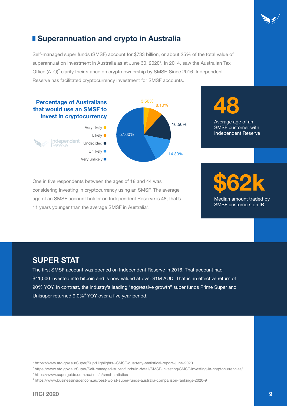## **E** Superannuation and crypto in Australia

Self-managed super funds (SMSF) account for \$733 billion, or about 25% of the total value of superannuation investment in Australia as at June 30, 2020<sup>6</sup>. In 2014, saw the Austrailan Tax Office (ATO)<sup>7</sup> clarify their stance on crypto ownership by SMSF. Since 2016, Independent Reserve has facilitated cryptocurrency investment for SMSF accounts.





Average age of an SMSF customer with Independent Reserve

One in five respondents between the ages of 18 and 44 was considering investing in cryptocurrency using an SMSF. The average age of an SMSF account holder on Independent Reserve is 48, that's 11 years younger than the average SMSF in Australia<sup>8</sup>.

## **\$62k** Median amount traded by SMSF customers on IR

## **SUPER STAT**

The first SMSF account was opened on Independent Reserve in 2016. That account had \$41,000 invested into bitcoin and is now valued at over \$1M AUD. That is an effective return of 90% YOY. In contrast, the industry's leading "aggressive growth" super funds Prime Super and Unisuper returned 9.0%9 YOY over a five year period.

<sup>6</sup> https://www.ato.gov.au/Super/Sup/Highlights--SMSF-quarterly-statistical-report-June-2020

<sup>7</sup> https://www.ato.gov.au/Super/Self-managed-super-funds/In-detail/SMSF-investing/SMSF-investing-in-cryptocurrencies/

<sup>8</sup> https://www.superguide.com.au/smsfs/smsf-statistics

<sup>9</sup> https://www.businessinsider.com.au/best-worst-super-funds-australia-comparison-rankings-2020-9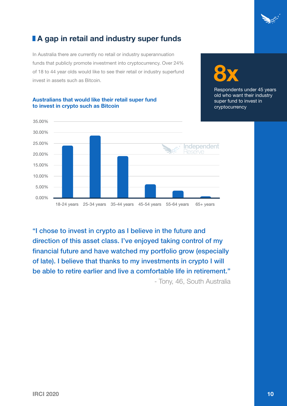

**8x**

Respondents under 45 years

## **A** gap in retail and industry super funds

In Australia there are currently no retail or industry superannuation funds that publicly promote investment into cryptocurrency. Over 24% of 18 to 44 year olds would like to see their retail or industry superfund invest in assets such as Bitcoin.

## old who want their industry super fund to invest in cryptocurrency Independent

#### **Australians that would like their retail super fund to invest in crypto such as Bitcoin**

"I chose to invest in crypto as I believe in the future and direction of this asset class. I've enjoyed taking control of my financial future and have watched my portfolio grow (especially of late). I believe that thanks to my investments in crypto I will be able to retire earlier and live a comfortable life in retirement." - Tony, 46, South Australia

18-24 years 25-34 years 35-44 years 45-54 years 55-64 years 65+ years

0.00%

5.00%

10.00%

15.00%

20.00%

25.00%

30.00%

35.00%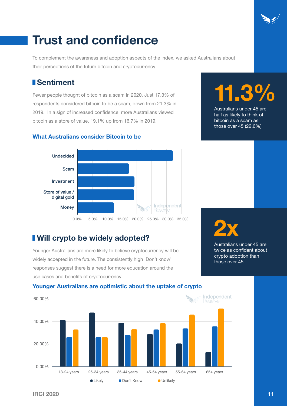## **Trust and confidence**

To complement the awareness and adoption aspects of the index, we asked Australians about their perceptions of the future bitcoin and cryptocurrency.

## **Sentiment**

Fewer people thought of bitcoin as a scam in 2020. Just 17.3% of respondents considered bitcoin to be a scam, down from 21.3% in 2019. In a sign of increased confidence, more Australians viewed bitcoin as a store of value, 19.1% up from 16.7% in 2019.

# **11.3%**

Australians under 45 are half as likely to think of bitcoin as a scam as those over 45 (22.6%)





## **I** Will crypto be widely adopted?

Younger Australians are more likely to believe cryptocurrency will be widely accepted in the future. The consistently high 'Don't know' responses suggest there is a need for more education around the use cases and benefits of cryptocurrency.



Australians under 45 are twice as confident about crypto adoption than those over 45.



### **Younger Australians are optimistic about the uptake of crypto**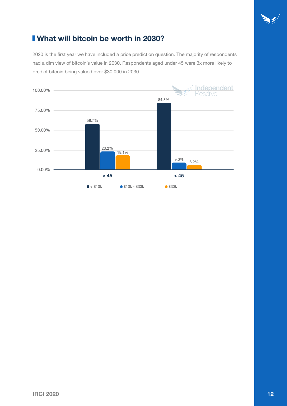

## **What will bitcoin be worth in 2030?**

2020 is the first year we have included a price prediction question. The majority of respondents had a dim view of bitcoin's value in 2030. Respondents aged under 45 were 3x more likely to predict bitcoin being valued over \$30,000 in 2030.

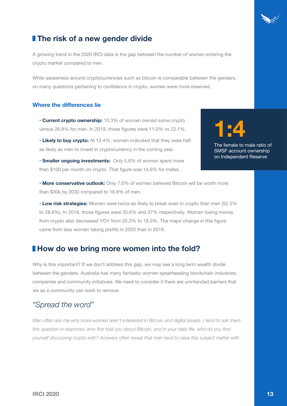

## **The risk of a new gender divide**

A growing trend in the 2020 IRCI data is the gap between the number of women entering the crypto market compared to men.

While awareness around cryptocurrencies such as bitcoin is comparable between the genders, on many questions pertaining to confidence in crypto, women were more reserved.

### **Where the differences lie**

• **Current crypto ownership:** 10.3% of women owned some crypto versus 26.8% for men. In 2019, those figures were 11.0% vs 22.1%.

• **Likely to buy crypto:** At 12.4%, women indicated that they were half as likely as men to invest in cryptocurrency in the coming year.

• **Smaller ongoing investments:** Only 5.6% of women spent more than \$100 per month on crypto. That figure was 14.6% for males.



The female to male ratio of SMSF account ownership on Independent Reserve

• **More conservative outlook:** Only 7.0% of women believed Bitcoin will be worth more than \$30k by 2030 compared to 16.8% of men.

• **Low risk strategies:** Women were twice as likely to break even in crypto than men (52.5% to 28.9%). In 2019, those figures were 35.6% and 37% respectively. Women losing money from crypto also decreased YOY from 20.3% to 18.0%. The major change in this figure came from less women taking profits in 2020 than in 2019.

## **I How do we bring more women into the fold?**

Why is this important? If we don't address this gap, we may see a long term wealth divide between the genders. Australia has many fantastic women spearheading blockchain industries, companies and community initiatives. We need to consider if there are unintended barriers that we as a community can work to remove.

## *"Spread the word"*

*Men often ask me why more women aren't interested in Bitcoin and digital assets. I tend to ask them this question in response: who first told you about Bitcoin, and in your daily life, who do you find yourself discussing crypto with? Answers often reveal that men tend to raise this subject matter with*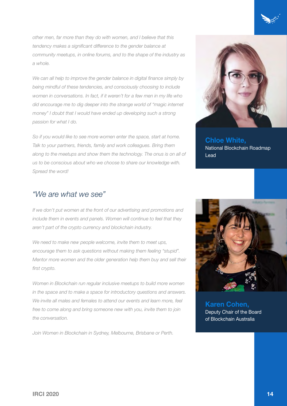*other men, far more than they do with women, and I believe that this tendency makes a significant difference to the gender balance at community meetups, in online forums, and to the shape of the industry as a whole.* 

We can all help to improve the gender balance in digital finance simply by *being mindful of these tendencies, and consciously choosing to include women in conversations. In fact, if it weren't for a few men in my life who did encourage me to dig deeper into the strange world of "magic internet money" I doubt that I would have ended up developing such a strong passion for what I do.* 

*So if you would like to see more women enter the space, start at home. Talk to your partners, friends, family and work colleagues. Bring them along to the meetups and show them the technology. The onus is on all of us to be conscious about who we choose to share our knowledge with. Spread the word!*



**Chloe White,** National Blockchain Roadmap Lead

## *"We are what we see"*

*If we don't put women at the front of our advertising and promotions and include them in events and panels. Women will continue to feel that they aren't part of the crypto currency and blockchain industry.* 

*We need to make new people welcome, invite them to meet ups, encourage them to ask questions without making them feeling "stupid". Mentor more women and the older generation help them buy and sell their first crypto.*

*Women in Blockchain run regular inclusive meetups to build more women in the space and to make a space for introductory questions and answers. We invite all males and females to attend our events and learn more, feel free to come along and bring someone new with you, invite them to join the conversation.*

*Join Women in Blockchain in Sydney, Melbourne, Brisbane or Perth.*



**Karen Cohen,** Deputy Chair of the Board of Blockchain Australia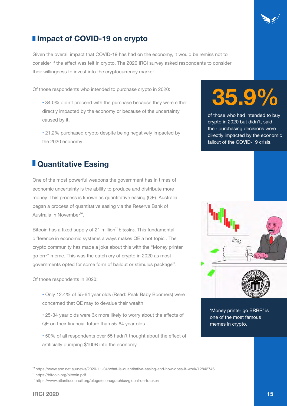

## **I** Impact of COVID-19 on crypto

Given the overall impact that COVID-19 has had on the economy, it would be remiss not to consider if the effect was felt in crypto. The 2020 IRCI survey asked respondents to consider their willingness to invest into the cryptocurrency market.

Of those respondents who intended to purchase crypto in 2020:

- 34.0% didn't proceed with the purchase because they were either directly impacted by the economy or because of the uncertainty caused by it.
- 21.2% purchased crypto despite being negatively impacted by the 2020 economy.

## *<u>I*</u> Quantitative Easing

One of the most powerful weapons the government has in times of economic uncertainty is the ability to produce and distribute more money. This process is known as quantitative easing (QE). Australia began a process of quantitative easing via the Reserve Bank of Australia in November<sup>10</sup>

Bitcoin has a fixed supply of 21 million<sup>11</sup> bitcoins. This fundamental difference in economic systems always makes QE a hot topic . The crypto community has made a joke about this with the "Money printer go brrr" meme. This was the catch cry of crypto in 2020 as most governments opted for some form of bailout or stimulus package<sup>12</sup>.

Of those respondents in 2020:

- Only 12.4% of 55-64 year olds (Read: Peak Baby Boomers) were concerned that QE may to devalue their wealth.
- 25-34 year olds were 3x more likely to worry about the effects of QE on their financial future than 55-64 year olds.
- 50% of all respondents over 55 hadn't thought about the effect of artificially pumping \$100B into the economy.

## **35.9%**

of those who had intended to buy crypto in 2020 but didn't, said their purchasing decisions were directly impacted by the economic fallout of the COVID-19 crisis.



'Money printer go BRRR' is one of the most famous memes in crypto.

<sup>&</sup>lt;sup>10</sup> https://www.abc.net.au/news/2020-11-04/what-is-quantitative-easing-and-how-does-it-work/12842746

<sup>&</sup>lt;sup>11</sup> https://bitcoin.org/bitcoin.pdf

<sup>&</sup>lt;sup>12</sup> https://www.atlanticcouncil.org/blogs/econographics/global-qe-tracker/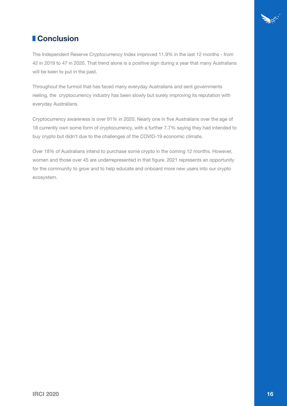

## **Conclusion**

The Independent Reserve Cryptocurrency Index improved 11.9% in the last 12 months - from 42 in 2019 to 47 in 2020. That trend alone is a positive sign during a year that many Australians will be keen to put in the past.

Throughout the turmoil that has faced many everyday Australians and sent governments reeling, the cryptocurrency industry has been slowly but surely improving its reputation with everyday Australians.

Cryptocurrency awareness is over 91% in 2020. Nearly one in five Australians over the age of 18 currently own some form of cryptocurrency, with a further 7.7% saying they had intended to buy crypto but didn't due to the challenges of the COVID-19 economic climate.

Over 18% of Australians intend to purchase some crypto in the coming 12 months. However, women and those over 45 are underrepresented in that figure. 2021 represents an opportunity for the community to grow and to help educate and onboard more new users into our crypto ecosystem.